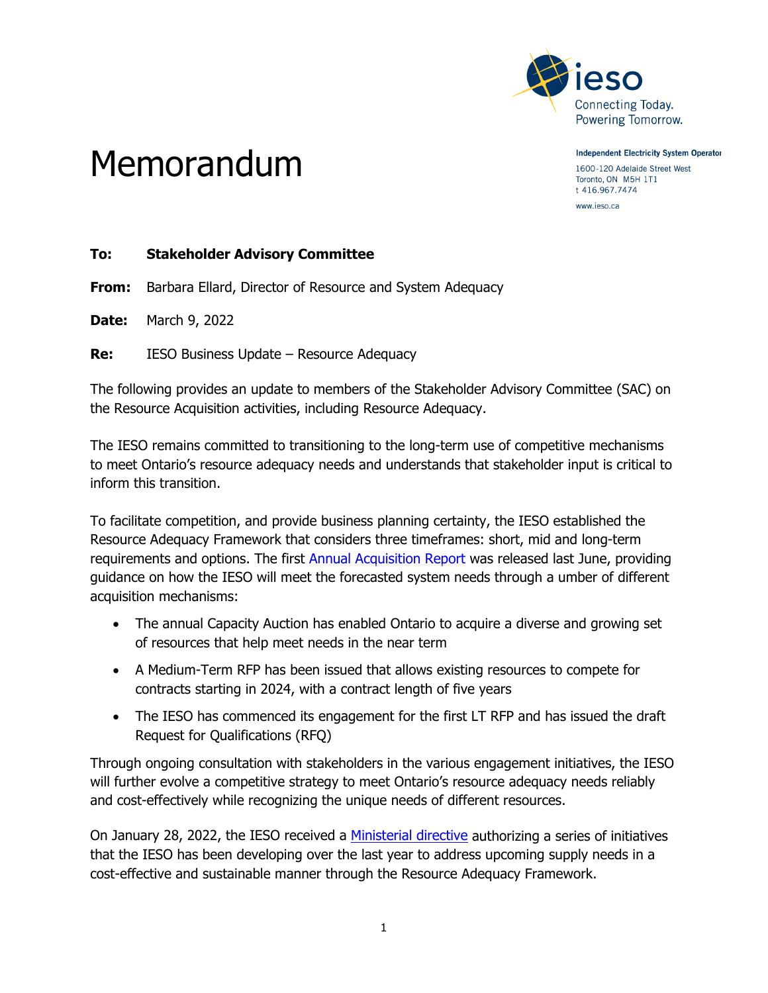

Memorandum

**Independent Electricity System Operator** 1600-120 Adelaide Street West Toronto, ON M5H 1T1 t 416.967.7474

www.ieso.ca

#### **To: Stakeholder Advisory Committee**

**From:** Barbara Ellard, Director of Resource and System Adequacy

**Date:** March 9, 2022

**Re:** IESO Business Update – Resource Adequacy

The following provides an update to members of the Stakeholder Advisory Committee (SAC) on the Resource Acquisition activities, including Resource Adequacy.

The IESO remains committed to transitioning to the long-term use of competitive mechanisms to meet Ontario's resource adequacy needs and understands that stakeholder input is critical to inform this transition.

To facilitate competition, and provide business planning certainty, the IESO established the Resource Adequacy Framework that considers three timeframes: short, mid and long-term requirements and options. The first [Annual Acquisition Report](https://www.ieso.ca/en/Sector-Participants/Planning-and-Forecasting/Annual-Acquisition-Report) was released last June, providing guidance on how the IESO will meet the forecasted system needs through a umber of different acquisition mechanisms:

- The annual Capacity Auction has enabled Ontario to acquire a diverse and growing set of resources that help meet needs in the near term
- A Medium-Term RFP has been issued that allows existing resources to compete for contracts starting in 2024, with a contract length of five years
- The IESO has commenced its engagement for the first LT RFP and has issued the draft Request for Qualifications (RFQ)

Through ongoing consultation with stakeholders in the various engagement initiatives, the IESO will further evolve a competitive strategy to meet Ontario's resource adequacy needs reliably and cost-effectively while recognizing the unique needs of different resources.

On January 28, 2022, the IESO received a [Ministerial directive](https://www.ieso.ca/-/media/Files/IESO/Document-Library/corporate/ministerial-directives/Letter-from-the-Minister-of-Energy-20220128.ashx) authorizing a series of initiatives that the IESO has been developing over the last year to address upcoming supply needs in a cost-effective and sustainable manner through the Resource Adequacy Framework.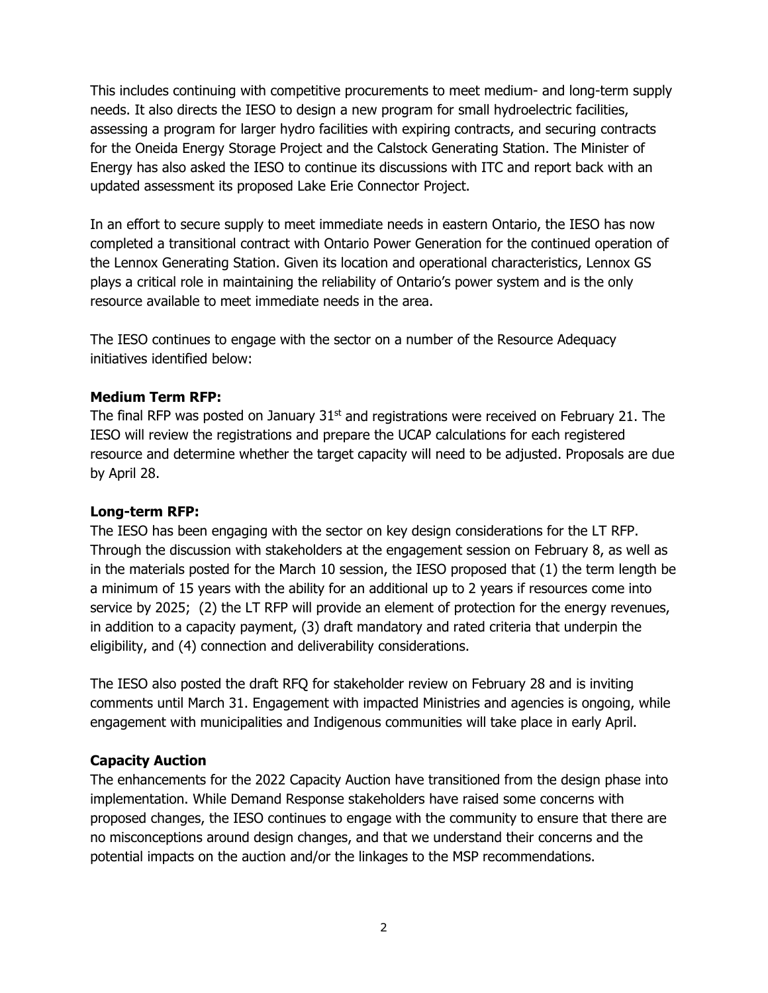This includes continuing with competitive procurements to meet medium- and long-term supply needs. It also directs the IESO to design a new program for small hydroelectric facilities, assessing a program for larger hydro facilities with expiring contracts, and securing contracts for the Oneida Energy Storage Project and the Calstock Generating Station. The Minister of Energy has also asked the IESO to continue its discussions with ITC and report back with an updated assessment its proposed Lake Erie Connector Project.

In an effort to secure supply to meet immediate needs in eastern Ontario, the IESO has now completed a transitional contract with Ontario Power Generation for the continued operation of the Lennox Generating Station. Given its location and operational characteristics, Lennox GS plays a critical role in maintaining the reliability of Ontario's power system and is the only resource available to meet immediate needs in the area.

The IESO continues to engage with the sector on a number of the Resource Adequacy initiatives identified below:

## **Medium Term RFP:**

The final RFP was posted on January  $31<sup>st</sup>$  and registrations were received on February 21. The IESO will review the registrations and prepare the UCAP calculations for each registered resource and determine whether the target capacity will need to be adjusted. Proposals are due by April 28.

#### **Long-term RFP:**

The IESO has been engaging with the sector on key design considerations for the LT RFP. Through the discussion with stakeholders at the engagement session on February 8, as well as in the materials posted for the March 10 session, the IESO proposed that (1) the term length be a minimum of 15 years with the ability for an additional up to 2 years if resources come into service by 2025; (2) the LT RFP will provide an element of protection for the energy revenues, in addition to a capacity payment, (3) draft mandatory and rated criteria that underpin the eligibility, and (4) connection and deliverability considerations.

The IESO also posted the draft RFQ for stakeholder review on February 28 and is inviting comments until March 31. Engagement with impacted Ministries and agencies is ongoing, while engagement with municipalities and Indigenous communities will take place in early April.

# **Capacity Auction**

The enhancements for the 2022 Capacity Auction have transitioned from the design phase into implementation. While Demand Response stakeholders have raised some concerns with proposed changes, the IESO continues to engage with the community to ensure that there are no misconceptions around design changes, and that we understand their concerns and the potential impacts on the auction and/or the linkages to the MSP recommendations.